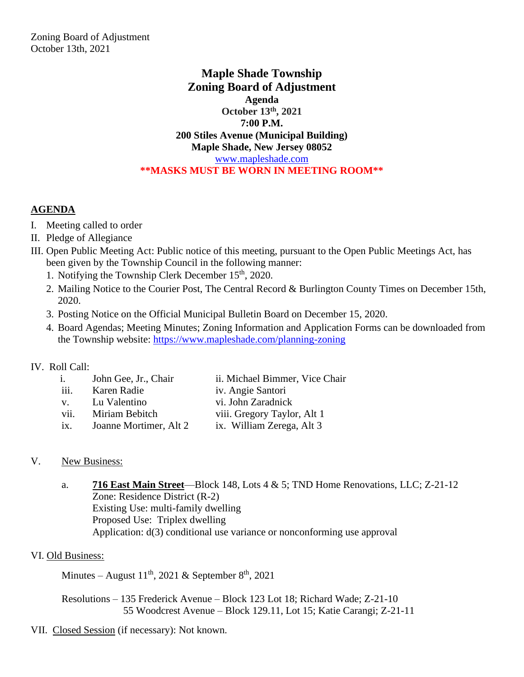## **Maple Shade Township Zoning Board of Adjustment Agenda October 13th, 2021 7:00 P.M. 200 Stiles Avenue (Municipal Building) Maple Shade, New Jersey 08052** www.mapleshade.com **\*\*MASKS MUST BE WORN IN MEETING ROOM\*\***

### **AGENDA**

- I. Meeting called to order
- II. Pledge of Allegiance
- III. Open Public Meeting Act: Public notice of this meeting, pursuant to the Open Public Meetings Act, has been given by the Township Council in the following manner:
	- 1. Notifying the Township Clerk December  $15<sup>th</sup>$ , 2020.
	- 2. Mailing Notice to the Courier Post, The Central Record & Burlington County Times on December 15th, 2020.
	- 3. Posting Notice on the Official Municipal Bulletin Board on December 15, 2020.
	- 4. Board Agendas; Meeting Minutes; Zoning Information and Application Forms can be downloaded from the Township website: https://www.mapleshade.com/planning-zoning

### IV. Roll Call:

| $\mathbf{i}$ .    | John Gee, Jr., Chair   | ii. Michael Bimmer, Vice Chair |
|-------------------|------------------------|--------------------------------|
| iii.              | Karen Radie            | iv. Angie Santori              |
| $V_{\odot}$       | Lu Valentino           | vi. John Zaradnick             |
| vii.              | Miriam Bebitch         | viii. Gregory Taylor, Alt 1    |
| $\overline{1}X$ . | Joanne Mortimer, Alt 2 | ix. William Zerega, Alt 3      |
|                   |                        |                                |

### V. New Business:

a. **716 East Main Street**—Block 148, Lots 4 & 5; TND Home Renovations, LLC; Z-21-12 Zone: Residence District (R-2) Existing Use: multi-family dwelling Proposed Use: Triplex dwelling Application: d(3) conditional use variance or nonconforming use approval

### VI. Old Business:

Minutes – August  $11^{th}$ , 2021 & September  $8^{th}$ , 2021

Resolutions – 135 Frederick Avenue – Block 123 Lot 18; Richard Wade; Z-21-10 55 Woodcrest Avenue – Block 129.11, Lot 15; Katie Carangi; Z-21-11

# VII. Closed Session (if necessary): Not known.